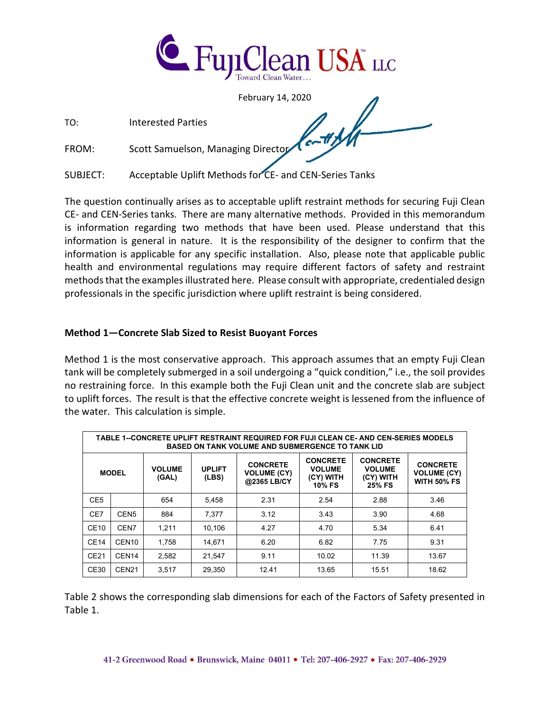

February 14, 2020

TO: Interested Parties

FROM: Scott Samuelson, Managing Director

SUBJECT: Acceptable Uplift Methods for CE- and CEN-Series Tanks

The question continually arises as to acceptable uplift restraint methods for securing Fuji Clean CE- and CEN-Series tanks. There are many alternative methods. Provided in this memorandum is information regarding two methods that have been used. Please understand that this information is general in nature. It is the responsibility of the designer to confirm that the information is applicable for any specific installation. Also, please note that applicable public health and environmental regulations may require different factors of safety and restraint methods that the examples illustrated here. Please consult with appropriate, credentialed design professionals in the specific jurisdiction where uplift restraint is being considered.

## **Method 1—Concrete Slab Sized to Resist Buoyant Forces**

Method 1 is the most conservative approach. This approach assumes that an empty Fuji Clean tank will be completely submerged in a soil undergoing a "quick condition," i.e., the soil provides no restraining force. In this example both the Fuji Clean unit and the concrete slab are subject to uplift forces. The result is that the effective concrete weight is lessened from the influence of the water. This calculation is simple.

| TABLE 1--CONCRETE UPLIFT RESTRAINT REQUIRED FOR FUJI CLEAN CE- AND CEN-SERIES MODELS<br><b>BASED ON TANK VOLUME AND SUBMERGENCE TO TANK LID</b> |                   |                        |                        |                                                      |                                                                |                                                                |                                                             |
|-------------------------------------------------------------------------------------------------------------------------------------------------|-------------------|------------------------|------------------------|------------------------------------------------------|----------------------------------------------------------------|----------------------------------------------------------------|-------------------------------------------------------------|
| <b>MODEL</b>                                                                                                                                    |                   | <b>VOLUME</b><br>(GAL) | <b>UPLIFT</b><br>(LBS) | <b>CONCRETE</b><br><b>VOLUME (CY)</b><br>@2365 LB/CY | <b>CONCRETE</b><br><b>VOLUME</b><br>(CY) WITH<br><b>10% FS</b> | <b>CONCRETE</b><br><b>VOLUME</b><br>(CY) WITH<br><b>25% FS</b> | <b>CONCRETE</b><br><b>VOLUME (CY)</b><br><b>WITH 50% FS</b> |
| CE <sub>5</sub>                                                                                                                                 |                   | 654                    | 5,458                  | 2.31                                                 | 2.54                                                           | 2.88                                                           | 3.46                                                        |
| CE7                                                                                                                                             | CEN <sub>5</sub>  | 884                    | 7.377                  | 3.12                                                 | 3.43                                                           | 3.90                                                           | 4.68                                                        |
| <b>CE10</b>                                                                                                                                     | CEN7              | 1,211                  | 10,106                 | 4.27                                                 | 4.70                                                           | 5.34                                                           | 6.41                                                        |
| <b>CE14</b>                                                                                                                                     | CEN <sub>10</sub> | 1.758                  | 14.671                 | 6.20                                                 | 6.82                                                           | 7.75                                                           | 9.31                                                        |
| CE21                                                                                                                                            | CEN <sub>14</sub> | 2,582                  | 21,547                 | 9.11                                                 | 10.02                                                          | 11.39                                                          | 13.67                                                       |
| CE30                                                                                                                                            | CEN <sub>21</sub> | 3,517                  | 29,350                 | 12.41                                                | 13.65                                                          | 15.51                                                          | 18.62                                                       |

Table 2 shows the corresponding slab dimensions for each of the Factors of Safety presented in Table 1.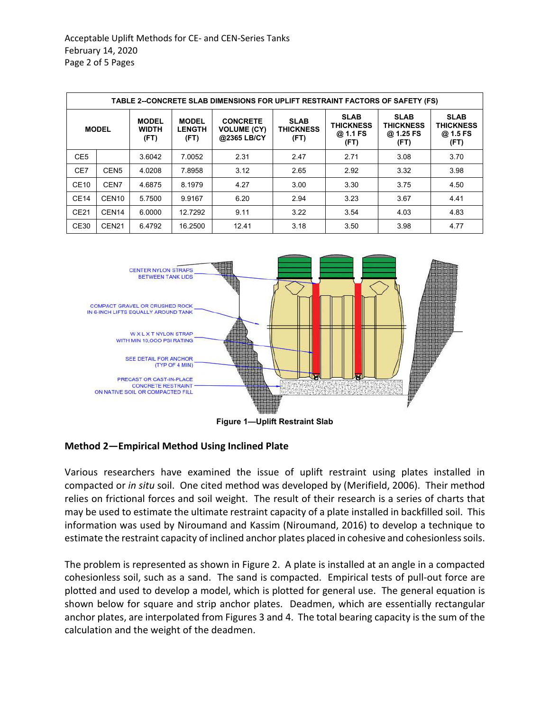| TABLE 2--CONCRETE SLAB DIMENSIONS FOR UPLIFT RESTRAINT FACTORS OF SAFETY (FS) |                   |                                      |                                       |                                                      |                                         |                                                     |                                                      |                                              |
|-------------------------------------------------------------------------------|-------------------|--------------------------------------|---------------------------------------|------------------------------------------------------|-----------------------------------------|-----------------------------------------------------|------------------------------------------------------|----------------------------------------------|
|                                                                               | <b>MODEL</b>      | <b>MODEL</b><br><b>WIDTH</b><br>(FT) | <b>MODEL</b><br><b>LENGTH</b><br>(FT) | <b>CONCRETE</b><br><b>VOLUME (CY)</b><br>@2365 LB/CY | <b>SLAB</b><br><b>THICKNESS</b><br>(FT) | <b>SLAB</b><br><b>THICKNESS</b><br>@ 1.1 FS<br>(FT) | <b>SLAB</b><br><b>THICKNESS</b><br>@ 1.25 FS<br>(FT) | <b>SLAB</b><br>THICKNESS<br>@ 1.5 FS<br>(FT) |
| CE <sub>5</sub>                                                               |                   | 3.6042                               | 7.0052                                | 2.31                                                 | 2.47                                    | 2.71                                                | 3.08                                                 | 3.70                                         |
| CE7                                                                           | CEN <sub>5</sub>  | 4.0208                               | 7.8958                                | 3.12                                                 | 2.65                                    | 2.92                                                | 3.32                                                 | 3.98                                         |
| CE10                                                                          | CEN7              | 4.6875                               | 8.1979                                | 4.27                                                 | 3.00                                    | 3.30                                                | 3.75                                                 | 4.50                                         |
| CE14                                                                          | CEN <sub>10</sub> | 5.7500                               | 9.9167                                | 6.20                                                 | 2.94                                    | 3.23                                                | 3.67                                                 | 4.41                                         |
| CE21                                                                          | CEN <sub>14</sub> | 6.0000                               | 12.7292                               | 9.11                                                 | 3.22                                    | 3.54                                                | 4.03                                                 | 4.83                                         |
| CE30                                                                          | CEN <sub>21</sub> | 6.4792                               | 16.2500                               | 12.41                                                | 3.18                                    | 3.50                                                | 3.98                                                 | 4.77                                         |



**Figure 1—Uplift Restraint Slab** 

## **Method 2—Empirical Method Using Inclined Plate**

Various researchers have examined the issue of uplift restraint using plates installed in compacted or *in situ* soil. One cited method was developed by (Merifield, 2006). Their method relies on frictional forces and soil weight. The result of their research is a series of charts that may be used to estimate the ultimate restraint capacity of a plate installed in backfilled soil. This information was used by Niroumand and Kassim (Niroumand, 2016) to develop a technique to estimate the restraint capacity of inclined anchor plates placed in cohesive and cohesionless soils.

The problem is represented as shown in Figure 2. A plate is installed at an angle in a compacted cohesionless soil, such as a sand. The sand is compacted. Empirical tests of pull-out force are plotted and used to develop a model, which is plotted for general use. The general equation is shown below for square and strip anchor plates. Deadmen, which are essentially rectangular anchor plates, are interpolated from Figures 3 and 4. The total bearing capacity is the sum of the calculation and the weight of the deadmen.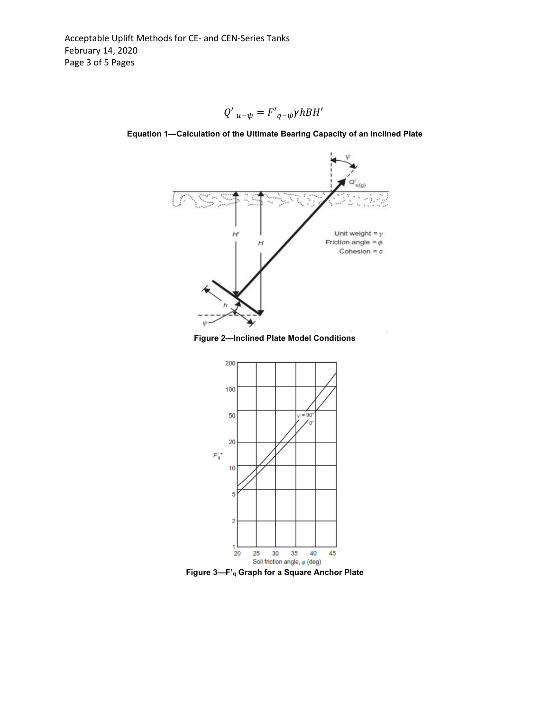



**Equation 1—Calculation of the Ultimate Bearing Capacity of an Inclined Plate** 



35

40

25

45

5

 $\overline{2}$ 

1

20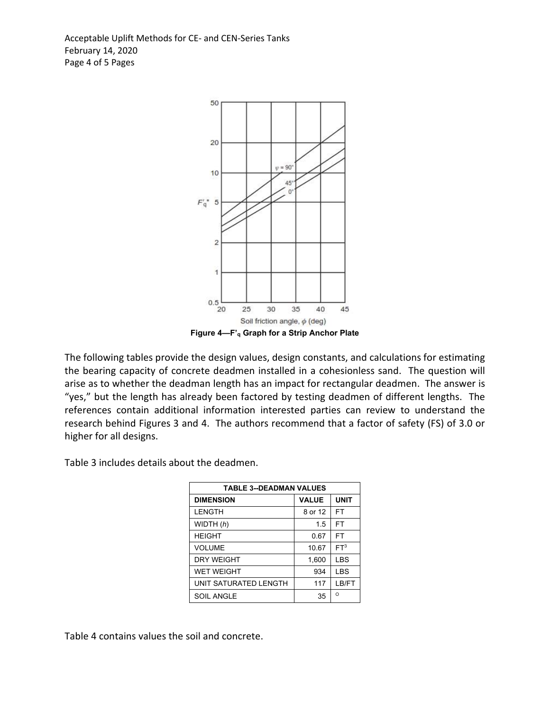Acceptable Uplift Methods for CE- and CEN-Series Tanks February 14, 2020 Page 4 of 5 Pages



The following tables provide the design values, design constants, and calculations for estimating the bearing capacity of concrete deadmen installed in a cohesionless sand. The question will arise as to whether the deadman length has an impact for rectangular deadmen. The answer is "yes," but the length has already been factored by testing deadmen of different lengths. The references contain additional information interested parties can review to understand the

research behind Figures 3 and 4. The authors recommend that a factor of safety (FS) of 3.0 or

higher for all designs. Table 3 includes details about the deadmen.

| <b>TABLE 3--DEADMAN VALUES</b> |              |                 |  |  |  |
|--------------------------------|--------------|-----------------|--|--|--|
| <b>DIMENSION</b>               | <b>VALUE</b> | <b>UNIT</b>     |  |  |  |
| <b>LENGTH</b>                  | 8 or 12      | FT              |  |  |  |
| WIDTH $(h)$                    | 1.5          | FT              |  |  |  |
| <b>HEIGHT</b>                  | 0.67         | <b>FT</b>       |  |  |  |
| <b>VOLUME</b>                  | 10.67        | FT <sup>3</sup> |  |  |  |
| <b>DRY WEIGHT</b>              | 1,600        | <b>LBS</b>      |  |  |  |
| <b>WET WEIGHT</b>              | 934          | <b>LBS</b>      |  |  |  |
| UNIT SATURATED LENGTH          | 117          | LB/FT           |  |  |  |
| <b>SOIL ANGLE</b>              | 35           | $\Omega$        |  |  |  |

Table 4 contains values the soil and concrete.